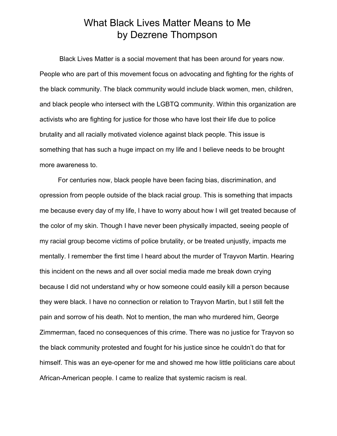## What Black Lives Matter Means to Me by Dezrene Thompson

Black Lives Matter is a social movement that has been around for years now. People who are part of this movement focus on advocating and fighting for the rights of the black community. The black community would include black women, men, children, and black people who intersect with the LGBTQ community. Within this organization are activists who are fighting for justice for those who have lost their life due to police brutality and all racially motivated violence against black people. This issue is something that has such a huge impact on my life and I believe needs to be brought more awareness to.

 For centuries now, black people have been facing bias, discrimination, and opression from people outside of the black racial group. This is something that impacts me because every day of my life, I have to worry about how I will get treated because of the color of my skin. Though I have never been physically impacted, seeing people of my racial group become victims of police brutality, or be treated unjustly, impacts me mentally. I remember the first time I heard about the murder of Trayvon Martin. Hearing this incident on the news and all over social media made me break down crying because I did not understand why or how someone could easily kill a person because they were black. I have no connection or relation to Trayvon Martin, but I still felt the pain and sorrow of his death. Not to mention, the man who murdered him, George Zimmerman, faced no consequences of this crime. There was no justice for Trayvon so the black community protested and fought for his justice since he couldn't do that for himself. This was an eye-opener for me and showed me how little politicians care about African-American people. I came to realize that systemic racism is real.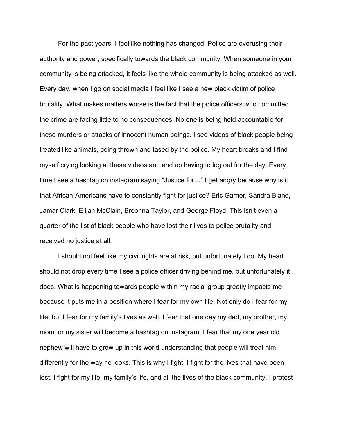For the past years, I feel like nothing has changed. Police are overusing their authority and power, specifically towards the black community. When someone in your community is being attacked, it feels like the whole community is being attacked as well. Every day, when I go on social media I feel like I see a new black victim of police brutality. What makes matters worse is the fact that the police officers who committed the crime are facing little to no consequences. No one is being held accountable for these murders or attacks of innocent human beings. I see videos of black people being treated like animals, being thrown and tased by the police. My heart breaks and I find myself crying looking at these videos and end up having to log out for the day. Every time I see a hashtag on instagram saying "Justice for…" I get angry because why is it that African-Americans have to constantly fight for justice? Eric Garner, Sandra Bland, Jamar Clark, Elijah McClain, Breonna Taylor, and George Floyd. This isn't even a quarter of the list of black people who have lost their lives to police brutality and received no justice at all.

 I should not feel like my civil rights are at risk, but unfortunately I do. My heart should not drop every time I see a police officer driving behind me, but unfortunately it does. What is happening towards people within my racial group greatly impacts me because it puts me in a position where I fear for my own life. Not only do I fear for my life, but I fear for my family's lives as well. I fear that one day my dad, my brother, my mom, or my sister will become a hashtag on instagram. I fear that my one year old nephew will have to grow up in this world understanding that people will treat him differently for the way he looks. This is why I fight. I fight for the lives that have been lost, I fight for my life, my family's life, and all the lives of the black community. I protest